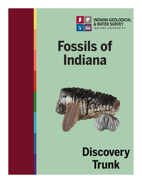

## **Fossils of Indiana**



**Discovery Trunk**